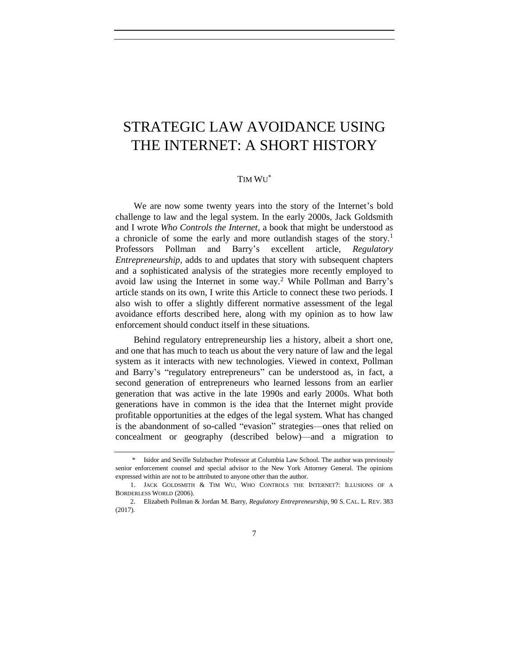## STRATEGIC LAW AVOIDANCE USING THE INTERNET: A SHORT HISTORY

## <span id="page-0-1"></span><span id="page-0-0"></span>TIM WU \*

We are now some twenty years into the story of the Internet's bold challenge to law and the legal system. In the early 2000s, Jack Goldsmith and I wrote *Who Controls the Internet*, a book that might be understood as a chronicle of some the early and more outlandish stages of the story.<sup>1</sup> Professors Pollman and Barry's excellent article, *Regulatory Entrepreneurship*, adds to and updates that story with subsequent chapters and a sophisticated analysis of the strategies more recently employed to avoid law using the Internet in some way.<sup>2</sup> While Pollman and Barry's article stands on its own, I write this Article to connect these two periods. I also wish to offer a slightly different normative assessment of the legal avoidance efforts described here, along with my opinion as to how law enforcement should conduct itself in these situations.

Behind regulatory entrepreneurship lies a history, albeit a short one, and one that has much to teach us about the very nature of law and the legal system as it interacts with new technologies. Viewed in context, Pollman and Barry's "regulatory entrepreneurs" can be understood as, in fact, a second generation of entrepreneurs who learned lessons from an earlier generation that was active in the late 1990s and early 2000s. What both generations have in common is the idea that the Internet might provide profitable opportunities at the edges of the legal system. What has changed is the abandonment of so-called "evasion" strategies—ones that relied on concealment or geography (described below)—and a migration to

<sup>\*</sup> Isidor and Seville Sulzbacher Professor at Columbia Law School. The author was previously senior enforcement counsel and special advisor to the New York Attorney General. The opinions expressed within are not to be attributed to anyone other than the author.

<sup>1.</sup> JACK GOLDSMITH & TIM WU, WHO CONTROLS THE INTERNET?: ILLUSIONS OF A BORDERLESS WORLD (2006).

<sup>2.</sup> Elizabeth Pollman & Jordan M. Barry, *Regulatory Entrepreneurship*, 90 S. CAL. L. REV. 383 (2017).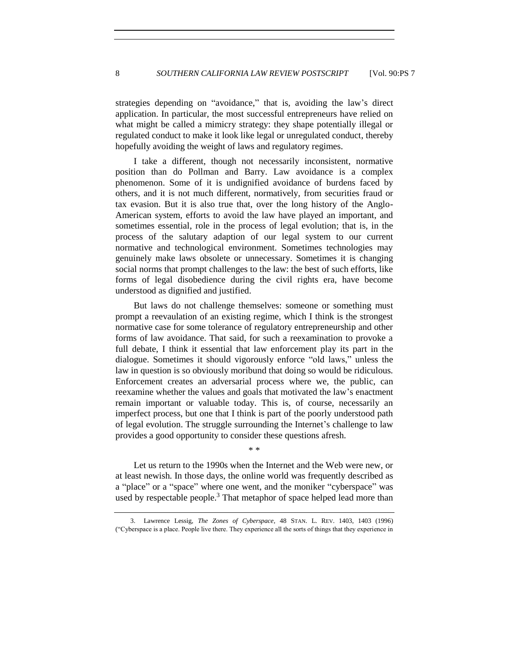strategies depending on "avoidance," that is, avoiding the law's direct application. In particular, the most successful entrepreneurs have relied on what might be called a mimicry strategy: they shape potentially illegal or regulated conduct to make it look like legal or unregulated conduct, thereby hopefully avoiding the weight of laws and regulatory regimes.

I take a different, though not necessarily inconsistent, normative position than do Pollman and Barry. Law avoidance is a complex phenomenon. Some of it is undignified avoidance of burdens faced by others, and it is not much different, normatively, from securities fraud or tax evasion. But it is also true that, over the long history of the Anglo-American system, efforts to avoid the law have played an important, and sometimes essential, role in the process of legal evolution; that is, in the process of the salutary adaption of our legal system to our current normative and technological environment. Sometimes technologies may genuinely make laws obsolete or unnecessary. Sometimes it is changing social norms that prompt challenges to the law: the best of such efforts, like forms of legal disobedience during the civil rights era, have become understood as dignified and justified.

But laws do not challenge themselves: someone or something must prompt a reevaulation of an existing regime, which I think is the strongest normative case for some tolerance of regulatory entrepreneurship and other forms of law avoidance. That said, for such a reexamination to provoke a full debate, I think it essential that law enforcement play its part in the dialogue. Sometimes it should vigorously enforce "old laws," unless the law in question is so obviously moribund that doing so would be ridiculous. Enforcement creates an adversarial process where we, the public, can reexamine whether the values and goals that motivated the law's enactment remain important or valuable today. This is, of course, necessarily an imperfect process, but one that I think is part of the poorly understood path of legal evolution. The struggle surrounding the Internet's challenge to law provides a good opportunity to consider these questions afresh.

Let us return to the 1990s when the Internet and the Web were new, or at least newish. In those days, the online world was frequently described as a "place" or a "space" where one went, and the moniker "cyberspace" was used by respectable people.<sup>3</sup> That metaphor of space helped lead more than

\* \*

<sup>3.</sup> Lawrence Lessig, *The Zones of Cyberspace*, 48 STAN. L. REV. 1403, 1403 (1996) ("Cyberspace is a place. People live there. They experience all the sorts of things that they experience in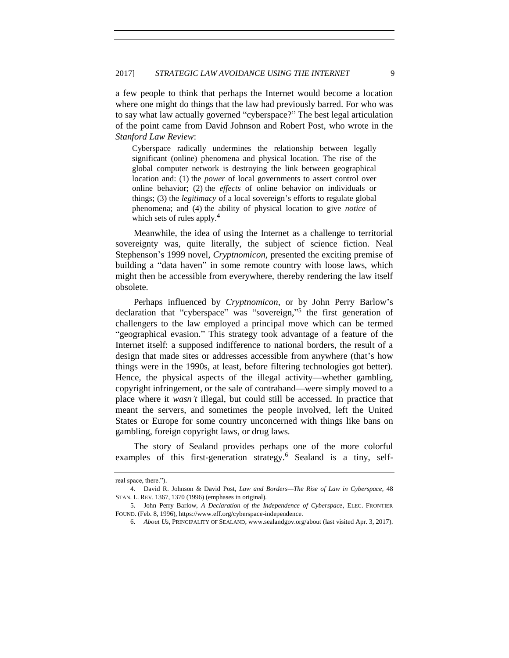a few people to think that perhaps the Internet would become a location where one might do things that the law had previously barred. For who was to say what law actually governed "cyberspace?" The best legal articulation of the point came from David Johnson and Robert Post, who wrote in the *Stanford Law Review*:

Cyberspace radically undermines the relationship between legally significant (online) phenomena and physical location. The rise of the global computer network is destroying the link between geographical location and: (1) the *power* of local governments to assert control over online behavior; (2) the *effects* of online behavior on individuals or things; (3) the *legitimacy* of a local sovereign's efforts to regulate global phenomena; and (4) the ability of physical location to give *notice* of which sets of rules apply.<sup>4</sup>

Meanwhile, the idea of using the Internet as a challenge to territorial sovereignty was, quite literally, the subject of science fiction. Neal Stephenson's 1999 novel, *Cryptnomicon*, presented the exciting premise of building a "data haven" in some remote country with loose laws, which might then be accessible from everywhere, thereby rendering the law itself obsolete.

Perhaps influenced by *Cryptnomicon*, or by John Perry Barlow's declaration that "cyberspace" was "sovereign,"<sup>5</sup> the first generation of challengers to the law employed a principal move which can be termed "geographical evasion." This strategy took advantage of a feature of the Internet itself: a supposed indifference to national borders, the result of a design that made sites or addresses accessible from anywhere (that's how things were in the 1990s, at least, before filtering technologies got better). Hence, the physical aspects of the illegal activity—whether gambling, copyright infringement, or the sale of contraband—were simply moved to a place where it *wasn't* illegal, but could still be accessed. In practice that meant the servers, and sometimes the people involved, left the United States or Europe for some country unconcerned with things like bans on gambling, foreign copyright laws, or drug laws.

The story of Sealand provides perhaps one of the more colorful examples of this first-generation strategy.<sup>6</sup> Sealand is a tiny, self-

real space, there.").

<sup>4.</sup> David R. Johnson & David Post, *Law and Borders—The Rise of Law in Cyberspace*, 48 STAN. L. REV. 1367, 1370 (1996) (emphases in original).

<sup>5.</sup> John Perry Barlow, *A Declaration of the Independence of Cyberspace*, ELEC. FRONTIER FOUND. (Feb. 8, 1996), https://www.eff.org/cyberspace-independence.

<sup>6.</sup> *About Us*, PRINCIPALITY OF SEALAND, www.sealandgov.org/about (last visited Apr. 3, 2017).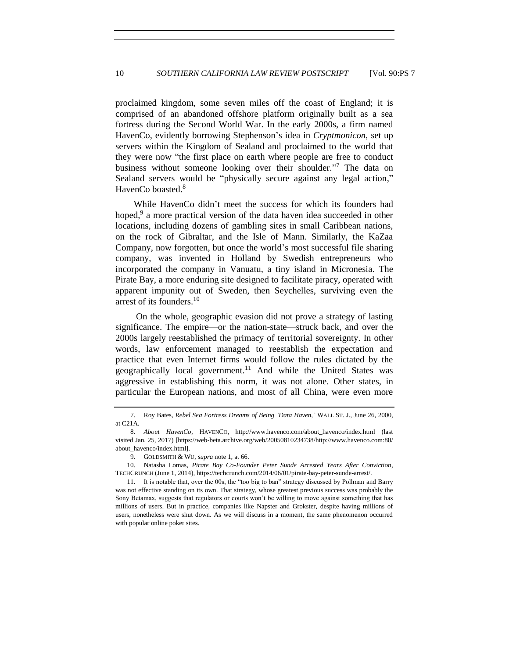proclaimed kingdom, some seven miles off the coast of England; it is comprised of an abandoned offshore platform originally built as a sea fortress during the Second World War. In the early 2000s, a firm named HavenCo, evidently borrowing Stephenson's idea in *Cryptmonicon*, set up servers within the Kingdom of Sealand and proclaimed to the world that they were now "the first place on earth where people are free to conduct business without someone looking over their shoulder."<sup>7</sup> The data on Sealand servers would be "physically secure against any legal action," HavenCo boasted.<sup>8</sup>

While HavenCo didn't meet the success for which its founders had hoped,<sup>9</sup> a more practical version of the data haven idea succeeded in other locations, including dozens of gambling sites in small Caribbean nations, on the rock of Gibraltar, and the Isle of Mann. Similarly, the KaZaa Company, now forgotten, but once the world's most successful file sharing company, was invented in Holland by Swedish entrepreneurs who incorporated the company in Vanuatu, a tiny island in Micronesia. The Pirate Bay, a more enduring site designed to facilitate piracy, operated with apparent impunity out of Sweden, then Seychelles, surviving even the arrest of its founders.<sup>10</sup>

On the whole, geographic evasion did not prove a strategy of lasting significance. The empire—or the nation-state—struck back, and over the 2000s largely reestablished the primacy of territorial sovereignty. In other words, law enforcement managed to reestablish the expectation and practice that even Internet firms would follow the rules dictated by the geographically local government.<sup>11</sup> And while the United States was aggressive in establishing this norm, it was not alone. Other states, in particular the European nations, and most of all China, were even more

<sup>7.</sup> Roy Bates, *Rebel Sea Fortress Dreams of Being 'Data Haven*,*'* WALL ST. J., June 26, 2000, at C21A.

<sup>8</sup>*. About HavenCo*, HAVENCO, http://www.havenco.com/about\_havenco/index.html (last visited Jan. 25, 2017) [https://web-beta.archive.org/web/20050810234738/http://www.havenco.com:80/ about\_havenco/index.html].

<sup>9.</sup> GOLDSMITH & WU, *supra* not[e 1,](#page-0-0) at 66.

<sup>10.</sup> Natasha Lomas, *Pirate Bay Co-Founder Peter Sunde Arrested Years After Conviction*, TECHCRUNCH (June 1, 2014), https://techcrunch.com/2014/06/01/pirate-bay-peter-sunde-arrest/.

<sup>11.</sup> It is notable that, over the 00s, the "too big to ban" strategy discussed by Pollman and Barry was not effective standing on its own. That strategy, whose greatest previous success was probably the Sony Betamax, suggests that regulators or courts won't be willing to move against something that has millions of users. But in practice, companies like Napster and Grokster, despite having millions of users, nonetheless were shut down. As we will discuss in a moment, the same phenomenon occurred with popular online poker sites.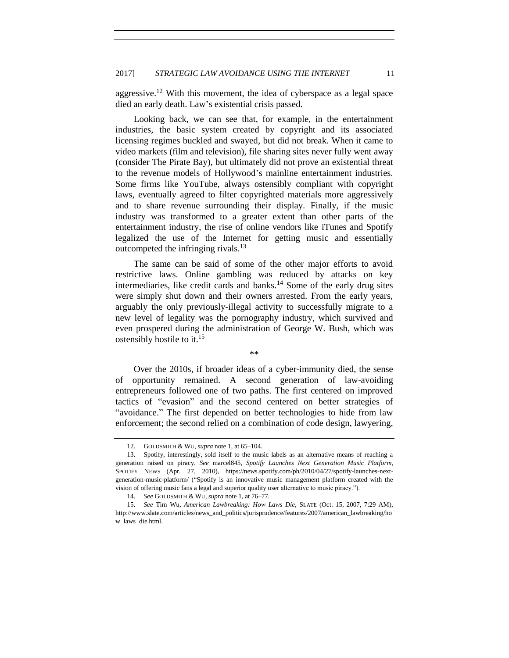aggressive.<sup>12</sup> With this movement, the idea of cyberspace as a legal space died an early death. Law's existential crisis passed.

Looking back, we can see that, for example, in the entertainment industries, the basic system created by copyright and its associated licensing regimes buckled and swayed, but did not break. When it came to video markets (film and television), file sharing sites never fully went away (consider The Pirate Bay), but ultimately did not prove an existential threat to the revenue models of Hollywood's mainline entertainment industries. Some firms like YouTube, always ostensibly compliant with copyright laws, eventually agreed to filter copyrighted materials more aggressively and to share revenue surrounding their display. Finally, if the music industry was transformed to a greater extent than other parts of the entertainment industry, the rise of online vendors like iTunes and Spotify legalized the use of the Internet for getting music and essentially outcompeted the infringing rivals.<sup>13</sup>

The same can be said of some of the other major efforts to avoid restrictive laws. Online gambling was reduced by attacks on key intermediaries, like credit cards and banks.<sup>14</sup> Some of the early drug sites were simply shut down and their owners arrested. From the early years, arguably the only previously-illegal activity to successfully migrate to a new level of legality was the pornography industry, which survived and even prospered during the administration of George W. Bush, which was ostensibly hostile to it. 15

\*\*

Over the 2010s, if broader ideas of a cyber-immunity died, the sense of opportunity remained. A second generation of law-avoiding entrepreneurs followed one of two paths. The first centered on improved tactics of "evasion" and the second centered on better strategies of "avoidance." The first depended on better technologies to hide from law enforcement; the second relied on a combination of code design, lawyering,

<sup>12.</sup> GOLDSMITH & WU, *supra* not[e 1,](#page-0-0) at 65–104.

<sup>13.</sup> Spotify, interestingly, sold itself to the music labels as an alternative means of reaching a generation raised on piracy. *See* marcel845, *Spotify Launches Next Generation Music Platform*, SPOTIFY NEWS (Apr. 27, 2010), https://news.spotify.com/ph/2010/04/27/spotify-launches-nextgeneration-music-platform/ ("Spotify is an innovative music management platform created with the vision of offering music fans a legal and superior quality user alternative to music piracy.").

<sup>14.</sup> *See* GOLDSMITH & WU, *supra* note [1,](#page-0-0) at 76–77.

<sup>15.</sup> *See* Tim Wu, *American Lawbreaking: How Laws Die*, SLATE (Oct. 15, 2007, 7:29 AM), http://www.slate.com/articles/news\_and\_politics/jurisprudence/features/2007/american\_lawbreaking/ho w\_laws\_die.html.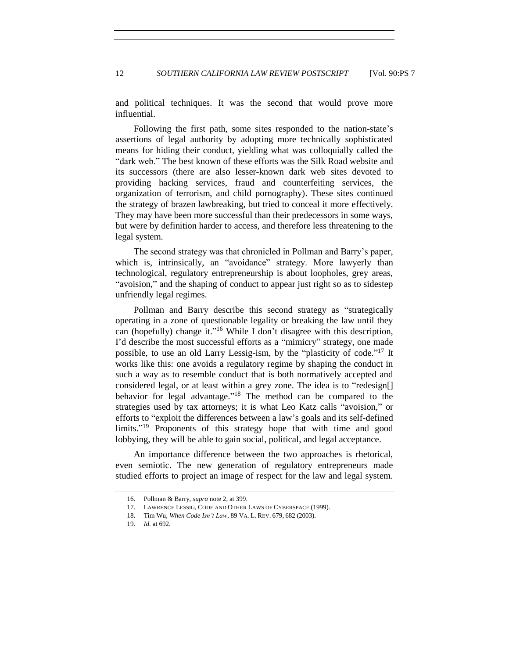and political techniques. It was the second that would prove more influential.

Following the first path, some sites responded to the nation-state's assertions of legal authority by adopting more technically sophisticated means for hiding their conduct, yielding what was colloquially called the "dark web." The best known of these efforts was the Silk Road website and its successors (there are also lesser-known dark web sites devoted to providing hacking services, fraud and counterfeiting services, the organization of terrorism, and child pornography). These sites continued the strategy of brazen lawbreaking, but tried to conceal it more effectively. They may have been more successful than their predecessors in some ways, but were by definition harder to access, and therefore less threatening to the legal system.

The second strategy was that chronicled in Pollman and Barry's paper, which is, intrinsically, an "avoidance" strategy. More lawyerly than technological, regulatory entrepreneurship is about loopholes, grey areas, "avoision," and the shaping of conduct to appear just right so as to sidestep unfriendly legal regimes.

Pollman and Barry describe this second strategy as "strategically operating in a zone of questionable legality or breaking the law until they can (hopefully) change it."<sup>16</sup> While I don't disagree with this description, I'd describe the most successful efforts as a "mimicry" strategy, one made possible, to use an old Larry Lessig-ism, by the "plasticity of code."<sup>17</sup> It works like this: one avoids a regulatory regime by shaping the conduct in such a way as to resemble conduct that is both normatively accepted and considered legal, or at least within a grey zone. The idea is to "redesign[] behavior for legal advantage." <sup>18</sup> The method can be compared to the strategies used by tax attorneys; it is what Leo Katz calls "avoision," or efforts to "exploit the differences between a law's goals and its self-defined limits." <sup>19</sup> Proponents of this strategy hope that with time and good lobbying, they will be able to gain social, political, and legal acceptance.

An importance difference between the two approaches is rhetorical, even semiotic. The new generation of regulatory entrepreneurs made studied efforts to project an image of respect for the law and legal system.

<sup>16.</sup> Pollman & Barry, *supra* not[e 2,](#page-0-1) at 399.

<sup>17.</sup> LAWRENCE LESSIG, CODE AND OTHER LAWS OF CYBERSPACE (1999).

<sup>18.</sup> Tim Wu, *When Code Isn't Law*, 89 VA. L. REV. 679, 682 (2003).

<sup>19.</sup> *Id.* at 692.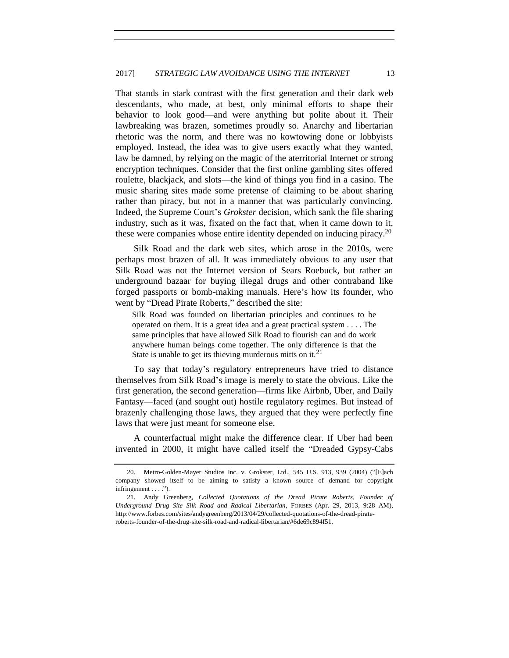That stands in stark contrast with the first generation and their dark web descendants, who made, at best, only minimal efforts to shape their behavior to look good—and were anything but polite about it. Their lawbreaking was brazen, sometimes proudly so. Anarchy and libertarian rhetoric was the norm, and there was no kowtowing done or lobbyists employed. Instead, the idea was to give users exactly what they wanted, law be damned, by relying on the magic of the aterritorial Internet or strong encryption techniques. Consider that the first online gambling sites offered roulette, blackjack, and slots—the kind of things you find in a casino. The music sharing sites made some pretense of claiming to be about sharing rather than piracy, but not in a manner that was particularly convincing. Indeed, the Supreme Court's *Grokster* decision, which sank the file sharing industry, such as it was, fixated on the fact that, when it came down to it, these were companies whose entire identity depended on inducing piracy.<sup>20</sup>

Silk Road and the dark web sites, which arose in the 2010s, were perhaps most brazen of all. It was immediately obvious to any user that Silk Road was not the Internet version of Sears Roebuck, but rather an underground bazaar for buying illegal drugs and other contraband like forged passports or bomb-making manuals. Here's how its founder, who went by "Dread Pirate Roberts," described the site:

Silk Road was founded on libertarian principles and continues to be operated on them. It is a great idea and a great practical system . . . . The same principles that have allowed Silk Road to flourish can and do work anywhere human beings come together. The only difference is that the State is unable to get its thieving murderous mitts on it.<sup>21</sup>

To say that today's regulatory entrepreneurs have tried to distance themselves from Silk Road's image is merely to state the obvious. Like the first generation, the second generation—firms like Airbnb, Uber, and Daily Fantasy—faced (and sought out) hostile regulatory regimes. But instead of brazenly challenging those laws, they argued that they were perfectly fine laws that were just meant for someone else.

A counterfactual might make the difference clear. If Uber had been invented in 2000, it might have called itself the "Dreaded Gypsy-Cabs

<sup>20.</sup> Metro-Golden-Mayer Studios Inc. v. Grokster, Ltd., 545 U.S. 913, 939 (2004) ("[E]ach company showed itself to be aiming to satisfy a known source of demand for copyright infringement . . . .").

<sup>21.</sup> Andy Greenberg, *Collected Quotations of the Dread Pirate Roberts, Founder of Underground Drug Site Silk Road and Radical Libertarian*, FORBES (Apr. 29, 2013, 9:28 AM), http://www.forbes.com/sites/andygreenberg/2013/04/29/collected-quotations-of-the-dread-pirateroberts-founder-of-the-drug-site-silk-road-and-radical-libertarian/#6de69c894f51.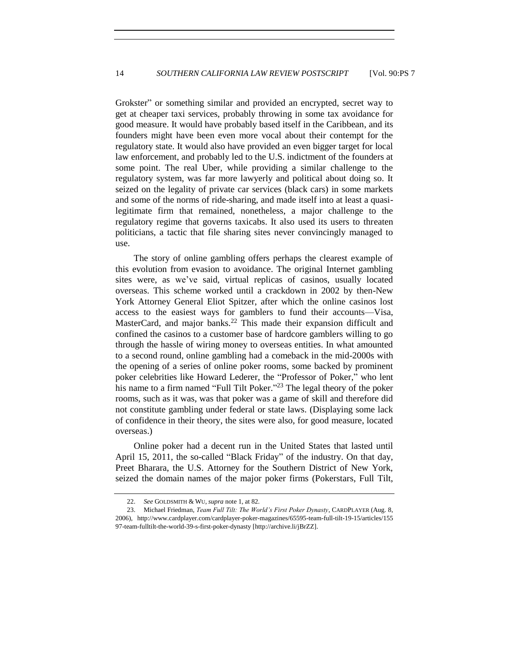Grokster" or something similar and provided an encrypted, secret way to get at cheaper taxi services, probably throwing in some tax avoidance for good measure. It would have probably based itself in the Caribbean, and its founders might have been even more vocal about their contempt for the regulatory state. It would also have provided an even bigger target for local law enforcement, and probably led to the U.S. indictment of the founders at some point. The real Uber, while providing a similar challenge to the regulatory system, was far more lawyerly and political about doing so. It seized on the legality of private car services (black cars) in some markets and some of the norms of ride-sharing, and made itself into at least a quasilegitimate firm that remained, nonetheless, a major challenge to the regulatory regime that governs taxicabs. It also used its users to threaten politicians, a tactic that file sharing sites never convincingly managed to use.

The story of online gambling offers perhaps the clearest example of this evolution from evasion to avoidance. The original Internet gambling sites were, as we've said, virtual replicas of casinos, usually located overseas. This scheme worked until a crackdown in 2002 by then-New York Attorney General Eliot Spitzer, after which the online casinos lost access to the easiest ways for gamblers to fund their accounts—Visa, MasterCard, and major banks.<sup>22</sup> This made their expansion difficult and confined the casinos to a customer base of hardcore gamblers willing to go through the hassle of wiring money to overseas entities. In what amounted to a second round, online gambling had a comeback in the mid-2000s with the opening of a series of online poker rooms, some backed by prominent poker celebrities like Howard Lederer, the "Professor of Poker," who lent his name to a firm named "Full Tilt Poker."<sup>23</sup> The legal theory of the poker rooms, such as it was, was that poker was a game of skill and therefore did not constitute gambling under federal or state laws. (Displaying some lack of confidence in their theory, the sites were also, for good measure, located overseas.)

Online poker had a decent run in the United States that lasted until April 15, 2011, the so-called "Black Friday" of the industry. On that day, Preet Bharara, the U.S. Attorney for the Southern District of New York, seized the domain names of the major poker firms (Pokerstars, Full Tilt,

<sup>22.</sup> *See* GOLDSMITH & WU, *supra* note [1,](#page-0-0) at 82.

<sup>23.</sup> Michael Friedman, *Team Full Tilt: The World's First Poker Dynasty*, CARDPLAYER (Aug. 8, 2006), http://www.cardplayer.com/cardplayer-poker-magazines/65595-team-full-tilt-19-15/articles/155 97-team-fulltilt-the-world-39-s-first-poker-dynasty [http://archive.li/jBrZZ].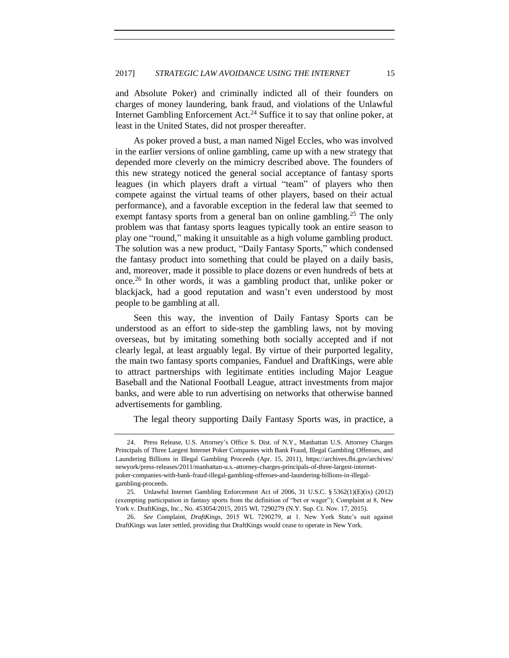and Absolute Poker) and criminally indicted all of their founders on charges of money laundering, bank fraud, and violations of the Unlawful Internet Gambling Enforcement Act.<sup>24</sup> Suffice it to say that online poker, at least in the United States, did not prosper thereafter.

As poker proved a bust, a man named Nigel Eccles, who was involved in the earlier versions of online gambling, came up with a new strategy that depended more cleverly on the mimicry described above. The founders of this new strategy noticed the general social acceptance of fantasy sports leagues (in which players draft a virtual "team" of players who then compete against the virtual teams of other players, based on their actual performance), and a favorable exception in the federal law that seemed to exempt fantasy sports from a general ban on online gambling.<sup>25</sup> The only problem was that fantasy sports leagues typically took an entire season to play one "round," making it unsuitable as a high volume gambling product. The solution was a new product, "Daily Fantasy Sports," which condensed the fantasy product into something that could be played on a daily basis, and, moreover, made it possible to place dozens or even hundreds of bets at once.<sup>26</sup> In other words, it was a gambling product that, unlike poker or blackjack, had a good reputation and wasn't even understood by most people to be gambling at all.

Seen this way, the invention of Daily Fantasy Sports can be understood as an effort to side-step the gambling laws, not by moving overseas, but by imitating something both socially accepted and if not clearly legal, at least arguably legal. By virtue of their purported legality, the main two fantasy sports companies, Fanduel and DraftKings, were able to attract partnerships with legitimate entities including Major League Baseball and the National Football League, attract investments from major banks, and were able to run advertising on networks that otherwise banned advertisements for gambling.

The legal theory supporting Daily Fantasy Sports was, in practice, a

<sup>24.</sup> Press Release, U.S. Attorney's Office S. Dist. of N.Y., Manhattan U.S. Attorney Charges Principals of Three Largest Internet Poker Companies with Bank Fraud, Illegal Gambling Offenses, and Laundering Billions in Illegal Gambling Proceeds (Apr. 15, 2011), https://archives.fbi.gov/archives/ newyork/press-releases/2011/manhattan-u.s.-attorney-charges-principals-of-three-largest-internetpoker-companies-with-bank-fraud-illegal-gambling-offenses-and-laundering-billions-in-illegalgambling-proceeds.

<sup>25.</sup> Unlawful Internet Gambling Enforcement Act of 2006, 31 U.S.C. § 5362(1)(E)(ix) (2012) (exempting participation in fantasy sports from the definition of "bet or wager"); Complaint at 8, New York v. DraftKings, Inc., No. 453054/2015, 2015 WL 7290279 (N.Y. Sup. Ct. Nov. 17, 2015).

<sup>26.</sup> *See* Complaint, *DraftKings*, 2015 WL 7290279, at 1. New York State's suit against DraftKings was later settled, providing that DraftKings would cease to operate in New York.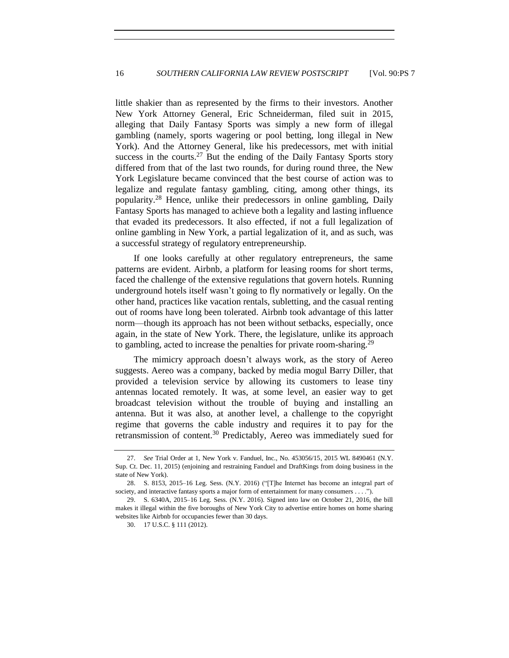little shakier than as represented by the firms to their investors. Another New York Attorney General, Eric Schneiderman, filed suit in 2015, alleging that Daily Fantasy Sports was simply a new form of illegal gambling (namely, sports wagering or pool betting, long illegal in New York). And the Attorney General, like his predecessors, met with initial success in the courts.<sup>27</sup> But the ending of the Daily Fantasy Sports story differed from that of the last two rounds, for during round three, the New York Legislature became convinced that the best course of action was to legalize and regulate fantasy gambling, citing, among other things, its popularity.<sup>28</sup> Hence, unlike their predecessors in online gambling, Daily Fantasy Sports has managed to achieve both a legality and lasting influence that evaded its predecessors. It also effected, if not a full legalization of online gambling in New York, a partial legalization of it, and as such, was a successful strategy of regulatory entrepreneurship.

If one looks carefully at other regulatory entrepreneurs, the same patterns are evident. Airbnb, a platform for leasing rooms for short terms, faced the challenge of the extensive regulations that govern hotels. Running underground hotels itself wasn't going to fly normatively or legally. On the other hand, practices like vacation rentals, subletting, and the casual renting out of rooms have long been tolerated. Airbnb took advantage of this latter norm—though its approach has not been without setbacks, especially, once again, in the state of New York. There, the legislature, unlike its approach to gambling, acted to increase the penalties for private room-sharing.<sup>29</sup>

The mimicry approach doesn't always work, as the story of Aereo suggests. Aereo was a company, backed by media mogul Barry Diller, that provided a television service by allowing its customers to lease tiny antennas located remotely. It was, at some level, an easier way to get broadcast television without the trouble of buying and installing an antenna. But it was also, at another level, a challenge to the copyright regime that governs the cable industry and requires it to pay for the retransmission of content.<sup>30</sup> Predictably, Aereo was immediately sued for

<sup>27.</sup> *See* Trial Order at 1, New York v. Fanduel, Inc., No. 453056/15, 2015 WL 8490461 (N.Y. Sup. Ct. Dec. 11, 2015) (enjoining and restraining Fanduel and DraftKings from doing business in the state of New York).

<sup>28.</sup> S. 8153, 2015–16 Leg. Sess. (N.Y. 2016) ("[T]he Internet has become an integral part of society, and interactive fantasy sports a major form of entertainment for many consumers . . . .").

<sup>29.</sup> S. 6340A, 2015–16 Leg. Sess. (N.Y. 2016). Signed into law on October 21, 2016, the bill makes it illegal within the five boroughs of New York City to advertise entire homes on home sharing websites like Airbnb for occupancies fewer than 30 days.

<sup>30.</sup> 17 U.S.C. § 111 (2012).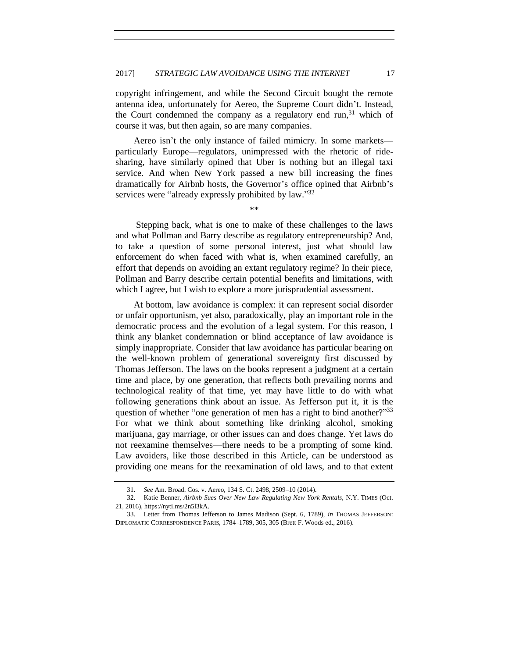copyright infringement, and while the Second Circuit bought the remote antenna idea, unfortunately for Aereo, the Supreme Court didn't. Instead, the Court condemned the company as a regulatory end run,  $31$  which of course it was, but then again, so are many companies.

Aereo isn't the only instance of failed mimicry. In some markets particularly Europe—regulators, unimpressed with the rhetoric of ridesharing, have similarly opined that Uber is nothing but an illegal taxi service. And when New York passed a new bill increasing the fines dramatically for Airbnb hosts, the Governor's office opined that Airbnb's services were "already expressly prohibited by law."32

\*\*

Stepping back, what is one to make of these challenges to the laws and what Pollman and Barry describe as regulatory entrepreneurship? And, to take a question of some personal interest, just what should law enforcement do when faced with what is, when examined carefully, an effort that depends on avoiding an extant regulatory regime? In their piece, Pollman and Barry describe certain potential benefits and limitations, with which I agree, but I wish to explore a more jurisprudential assessment.

At bottom, law avoidance is complex: it can represent social disorder or unfair opportunism, yet also, paradoxically, play an important role in the democratic process and the evolution of a legal system. For this reason, I think any blanket condemnation or blind acceptance of law avoidance is simply inappropriate. Consider that law avoidance has particular bearing on the well-known problem of generational sovereignty first discussed by Thomas Jefferson. The laws on the books represent a judgment at a certain time and place, by one generation, that reflects both prevailing norms and technological reality of that time, yet may have little to do with what following generations think about an issue. As Jefferson put it, it is the question of whether "one generation of men has a right to bind another?"<sup>33</sup> For what we think about something like drinking alcohol, smoking marijuana, gay marriage, or other issues can and does change. Yet laws do not reexamine themselves—there needs to be a prompting of some kind. Law avoiders, like those described in this Article, can be understood as providing one means for the reexamination of old laws, and to that extent

<sup>31.</sup> *See* Am. Broad. Cos. v. Aereo, 134 S. Ct. 2498, 2509–10 (2014).

<sup>32.</sup> Katie Benner, *Airbnb Sues Over New Law Regulating New York Rentals*, N.Y. TIMES (Oct. 21, 2016), https://nyti.ms/2n5l3kA.

<sup>33.</sup> Letter from Thomas Jefferson to James Madison (Sept. 6, 1789), *in* THOMAS JEFFERSON: DIPLOMATIC CORRESPONDENCE PARIS, 1784–1789, 305, 305 (Brett F. Woods ed., 2016).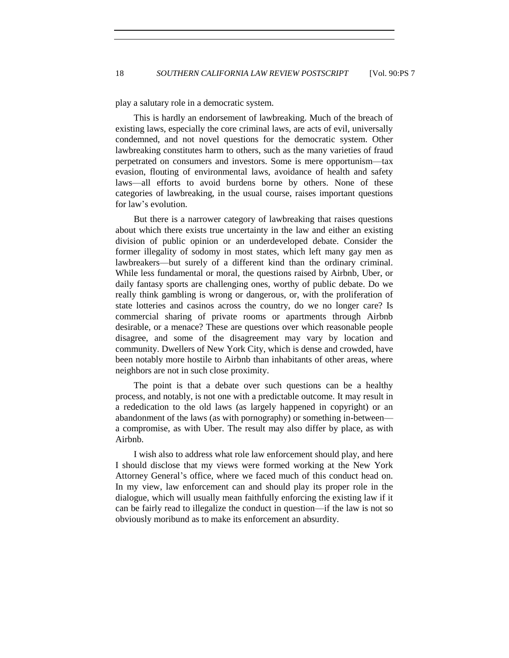play a salutary role in a democratic system.

This is hardly an endorsement of lawbreaking. Much of the breach of existing laws, especially the core criminal laws, are acts of evil, universally condemned, and not novel questions for the democratic system. Other lawbreaking constitutes harm to others, such as the many varieties of fraud perpetrated on consumers and investors. Some is mere opportunism—tax evasion, flouting of environmental laws, avoidance of health and safety laws—all efforts to avoid burdens borne by others. None of these categories of lawbreaking, in the usual course, raises important questions for law's evolution.

But there is a narrower category of lawbreaking that raises questions about which there exists true uncertainty in the law and either an existing division of public opinion or an underdeveloped debate. Consider the former illegality of sodomy in most states, which left many gay men as lawbreakers—but surely of a different kind than the ordinary criminal. While less fundamental or moral, the questions raised by Airbnb, Uber, or daily fantasy sports are challenging ones, worthy of public debate. Do we really think gambling is wrong or dangerous, or, with the proliferation of state lotteries and casinos across the country, do we no longer care? Is commercial sharing of private rooms or apartments through Airbnb desirable, or a menace? These are questions over which reasonable people disagree, and some of the disagreement may vary by location and community. Dwellers of New York City, which is dense and crowded, have been notably more hostile to Airbnb than inhabitants of other areas, where neighbors are not in such close proximity.

The point is that a debate over such questions can be a healthy process, and notably, is not one with a predictable outcome. It may result in a rededication to the old laws (as largely happened in copyright) or an abandonment of the laws (as with pornography) or something in-between a compromise, as with Uber. The result may also differ by place, as with Airbnb.

I wish also to address what role law enforcement should play, and here I should disclose that my views were formed working at the New York Attorney General's office, where we faced much of this conduct head on. In my view, law enforcement can and should play its proper role in the dialogue, which will usually mean faithfully enforcing the existing law if it can be fairly read to illegalize the conduct in question—if the law is not so obviously moribund as to make its enforcement an absurdity.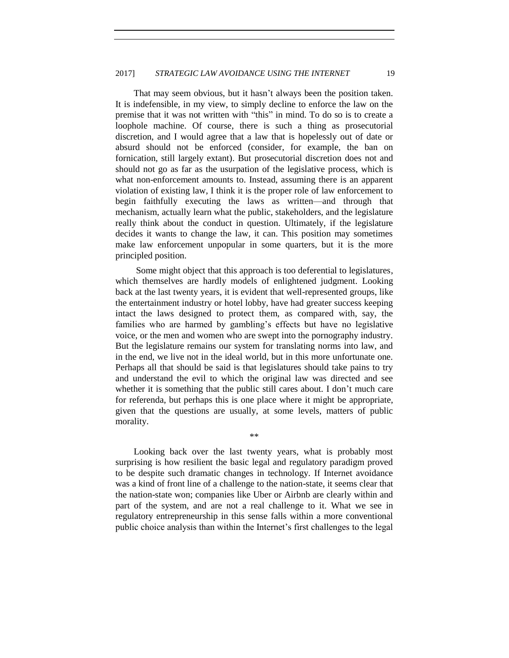That may seem obvious, but it hasn't always been the position taken. It is indefensible, in my view, to simply decline to enforce the law on the premise that it was not written with "this" in mind. To do so is to create a loophole machine. Of course, there is such a thing as prosecutorial discretion, and I would agree that a law that is hopelessly out of date or absurd should not be enforced (consider, for example, the ban on fornication, still largely extant). But prosecutorial discretion does not and should not go as far as the usurpation of the legislative process, which is what non-enforcement amounts to. Instead, assuming there is an apparent violation of existing law, I think it is the proper role of law enforcement to begin faithfully executing the laws as written—and through that mechanism, actually learn what the public, stakeholders, and the legislature really think about the conduct in question. Ultimately, if the legislature decides it wants to change the law, it can. This position may sometimes make law enforcement unpopular in some quarters, but it is the more principled position.

Some might object that this approach is too deferential to legislatures, which themselves are hardly models of enlightened judgment. Looking back at the last twenty years, it is evident that well-represented groups, like the entertainment industry or hotel lobby, have had greater success keeping intact the laws designed to protect them, as compared with, say, the families who are harmed by gambling's effects but have no legislative voice, or the men and women who are swept into the pornography industry. But the legislature remains our system for translating norms into law, and in the end, we live not in the ideal world, but in this more unfortunate one. Perhaps all that should be said is that legislatures should take pains to try and understand the evil to which the original law was directed and see whether it is something that the public still cares about. I don't much care for referenda, but perhaps this is one place where it might be appropriate, given that the questions are usually, at some levels, matters of public morality.

\*\*

Looking back over the last twenty years, what is probably most surprising is how resilient the basic legal and regulatory paradigm proved to be despite such dramatic changes in technology. If Internet avoidance was a kind of front line of a challenge to the nation-state, it seems clear that the nation-state won; companies like Uber or Airbnb are clearly within and part of the system, and are not a real challenge to it. What we see in regulatory entrepreneurship in this sense falls within a more conventional public choice analysis than within the Internet's first challenges to the legal